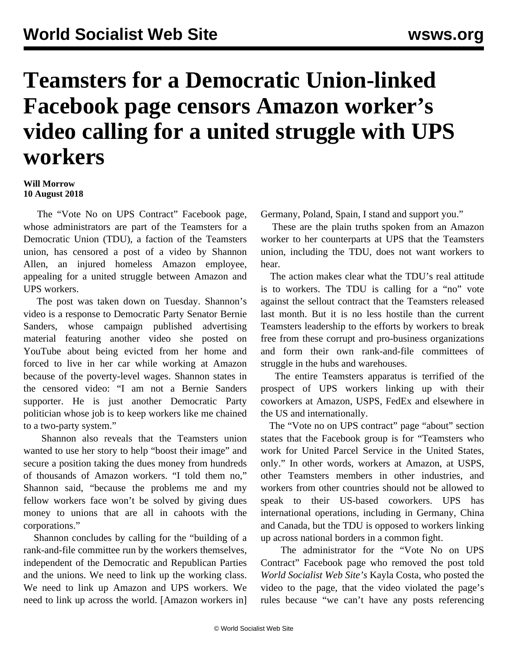## **Teamsters for a Democratic Union-linked Facebook page censors Amazon worker's video calling for a united struggle with UPS workers**

## **Will Morrow 10 August 2018**

 The "Vote No on UPS Contract" Facebook page, whose administrators are part of the Teamsters for a Democratic Union (TDU), a faction of the Teamsters union, has censored a post of a [video](https://www.facebook.com/AmazonWorkersVoice/videos/506495233114116/) by Shannon Allen, an injured homeless Amazon employee, appealing for a united struggle between Amazon and UPS workers.

 The post was taken down on Tuesday. Shannon's video is a response to Democratic Party Senator Bernie Sanders, whose campaign published advertising material featuring another video she posted on YouTube about being evicted from her home and forced to live in her car while working at Amazon because of the poverty-level wages. Shannon states in the censored video: "I am not a Bernie Sanders supporter. He is just another Democratic Party politician whose job is to keep workers like me chained to a two-party system."

 Shannon also reveals that the Teamsters union wanted to use her story to help "boost their image" and secure a position taking the dues money from hundreds of thousands of Amazon workers. "I told them no," Shannon said, "because the problems me and my fellow workers face won't be solved by giving dues money to unions that are all in cahoots with the corporations."

 Shannon concludes by calling for the "building of a rank-and-file committee run by the workers themselves, independent of the Democratic and Republican Parties and the unions. We need to link up the working class. We need to link up Amazon and UPS workers. We need to link up across the world. [Amazon workers in] Germany, Poland, Spain, I stand and support you."

 These are the plain truths spoken from an Amazon worker to her counterparts at UPS that the Teamsters union, including the TDU, does not want workers to hear.

 The action makes clear what the TDU's real attitude is to workers. The TDU is calling for a "no" vote against the sellout contract that the Teamsters released last month. But it is no less hostile than the current Teamsters leadership to the efforts by workers to break free from these corrupt and pro-business organizations and form their own rank-and-file committees of struggle in the hubs and warehouses.

 The entire Teamsters apparatus is terrified of the prospect of UPS workers linking up with their coworkers at Amazon, USPS, FedEx and elsewhere in the US and internationally.

 The "Vote no on UPS contract" page "about" section states that the Facebook group is for "Teamsters who work for United Parcel Service in the United States, only." In other words, workers at Amazon, at USPS, other Teamsters members in other industries, and workers from other countries should not be allowed to speak to their US-based coworkers. UPS has international operations, including in Germany, China and Canada, but the TDU is opposed to workers linking up across national borders in a common fight.

 The administrator for the "Vote No on UPS Contract" Facebook page who removed the post told *World Socialist Web Site's* Kayla Costa, who posted the video to the page, that the video violated the page's rules because "we can't have any posts referencing